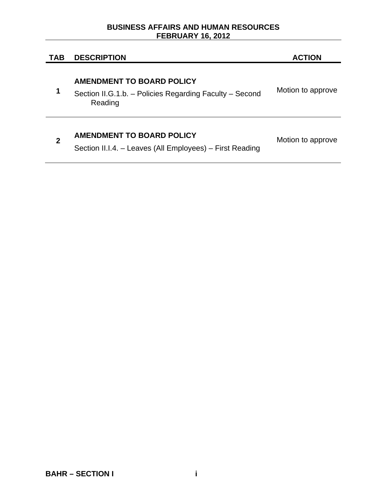### **BUSINESS AFFAIRS AND HUMAN RESOURCES FEBRUARY 16, 2012**

# **TAB DESCRIPTION ACTION**

# **AMENDMENT TO BOARD POLICY**

**1**  Section II.G.1.b. – Policies Regarding Faculty – Second Reading Motion to approve

# **<sup>2</sup>AMENDMENT TO BOARD POLICY**

Motion to approve

Section II.I.4. – Leaves (All Employees) – First Reading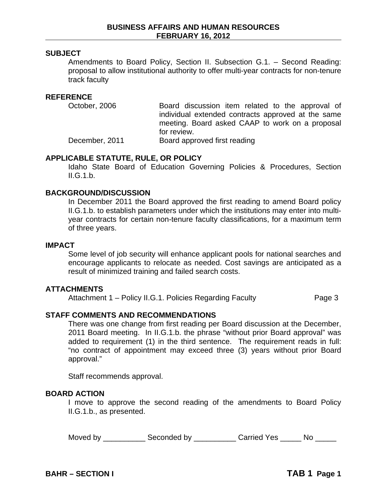### **SUBJECT**

Amendments to Board Policy, Section II. Subsection G.1. – Second Reading: proposal to allow institutional authority to offer multi-year contracts for non-tenure track faculty

#### **REFERENCE**

October, 2006 Board discussion item related to the approval of individual extended contracts approved at the same meeting. Board asked CAAP to work on a proposal for review. December, 2011 Board approved first reading

#### **APPLICABLE STATUTE, RULE, OR POLICY**

Idaho State Board of Education Governing Policies & Procedures, Section  $II.G.1.b.$ 

#### **BACKGROUND/DISCUSSION**

 In December 2011 the Board approved the first reading to amend Board policy II.G.1.b. to establish parameters under which the institutions may enter into multiyear contracts for certain non-tenure faculty classifications, for a maximum term of three years.

#### **IMPACT**

Some level of job security will enhance applicant pools for national searches and encourage applicants to relocate as needed. Cost savings are anticipated as a result of minimized training and failed search costs.

#### **ATTACHMENTS**

Attachment 1 – Policy II.G.1. Policies Regarding Faculty **Page 3** 

# **STAFF COMMENTS AND RECOMMENDATIONS**

There was one change from first reading per Board discussion at the December, 2011 Board meeting. In II.G.1.b. the phrase "without prior Board approval" was added to requirement (1) in the third sentence. The requirement reads in full: "no contract of appointment may exceed three (3) years without prior Board approval."

Staff recommends approval.

#### **BOARD ACTION**

I move to approve the second reading of the amendments to Board Policy II.G.1.b., as presented.

Moved by \_\_\_\_\_\_\_\_\_\_\_\_\_ Seconded by \_\_\_\_\_\_\_\_\_\_\_\_ Carried Yes \_\_\_\_\_\_ No \_\_\_\_\_\_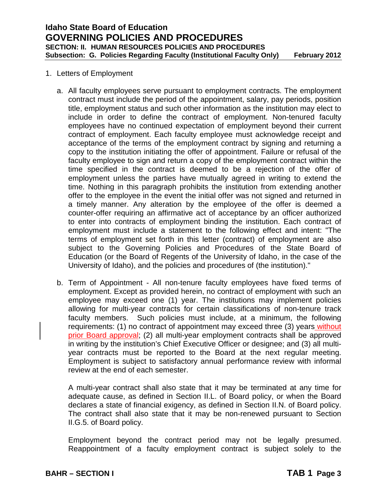#### 1. Letters of Employment

- a. All faculty employees serve pursuant to employment contracts. The employment contract must include the period of the appointment, salary, pay periods, position title, employment status and such other information as the institution may elect to include in order to define the contract of employment. Non-tenured faculty employees have no continued expectation of employment beyond their current contract of employment. Each faculty employee must acknowledge receipt and acceptance of the terms of the employment contract by signing and returning a copy to the institution initiating the offer of appointment. Failure or refusal of the faculty employee to sign and return a copy of the employment contract within the time specified in the contract is deemed to be a rejection of the offer of employment unless the parties have mutually agreed in writing to extend the time. Nothing in this paragraph prohibits the institution from extending another offer to the employee in the event the initial offer was not signed and returned in a timely manner. Any alteration by the employee of the offer is deemed a counter-offer requiring an affirmative act of acceptance by an officer authorized to enter into contracts of employment binding the institution. Each contract of employment must include a statement to the following effect and intent: "The terms of employment set forth in this letter (contract) of employment are also subject to the Governing Policies and Procedures of the State Board of Education (or the Board of Regents of the University of Idaho, in the case of the University of Idaho), and the policies and procedures of (the institution)."
- b. Term of Appointment All non-tenure faculty employees have fixed terms of employment. Except as provided herein, no contract of employment with such an employee may exceed one (1) year. The institutions may implement policies allowing for multi-year contracts for certain classifications of non-tenure track faculty members. Such policies must include, at a minimum, the following requirements: (1) no contract of appointment may exceed three (3) years without prior Board approval; (2) all multi-year employment contracts shall be approved in writing by the institution's Chief Executive Officer or designee; and (3) all multiyear contracts must be reported to the Board at the next regular meeting. Employment is subject to satisfactory annual performance review with informal review at the end of each semester.

A multi-year contract shall also state that it may be terminated at any time for adequate cause, as defined in Section II.L. of Board policy, or when the Board declares a state of financial exigency, as defined in Section II.N. of Board policy. The contract shall also state that it may be non-renewed pursuant to Section II.G.5. of Board policy.

Employment beyond the contract period may not be legally presumed. Reappointment of a faculty employment contract is subject solely to the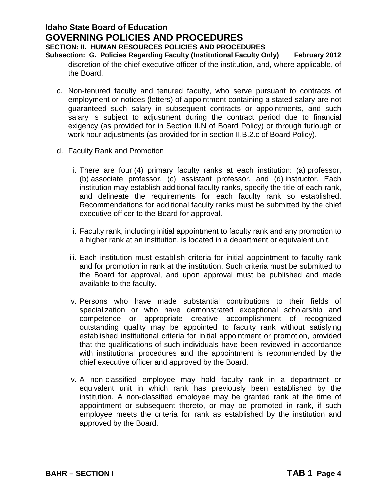# **Idaho State Board of Education GOVERNING POLICIES AND PROCEDURES SECTION: II. HUMAN RESOURCES POLICIES AND PROCEDURES Subsection: G. Policies Regarding Faculty (Institutional Faculty Only) February 2012**

discretion of the chief executive officer of the institution, and, where applicable, of the Board.

- c. Non-tenured faculty and tenured faculty, who serve pursuant to contracts of employment or notices (letters) of appointment containing a stated salary are not guaranteed such salary in subsequent contracts or appointments, and such salary is subject to adjustment during the contract period due to financial exigency (as provided for in Section II.N of Board Policy) or through furlough or work hour adjustments (as provided for in section II.B.2.c of Board Policy).
- d. Faculty Rank and Promotion
	- i. There are four (4) primary faculty ranks at each institution: (a) professor, (b) associate professor, (c) assistant professor, and (d) instructor. Each institution may establish additional faculty ranks, specify the title of each rank, and delineate the requirements for each faculty rank so established. Recommendations for additional faculty ranks must be submitted by the chief executive officer to the Board for approval.
	- ii. Faculty rank, including initial appointment to faculty rank and any promotion to a higher rank at an institution, is located in a department or equivalent unit.
	- iii. Each institution must establish criteria for initial appointment to faculty rank and for promotion in rank at the institution. Such criteria must be submitted to the Board for approval, and upon approval must be published and made available to the faculty.
	- iv. Persons who have made substantial contributions to their fields of specialization or who have demonstrated exceptional scholarship and competence or appropriate creative accomplishment of recognized outstanding quality may be appointed to faculty rank without satisfying established institutional criteria for initial appointment or promotion, provided that the qualifications of such individuals have been reviewed in accordance with institutional procedures and the appointment is recommended by the chief executive officer and approved by the Board.
	- v. A non-classified employee may hold faculty rank in a department or equivalent unit in which rank has previously been established by the institution. A non-classified employee may be granted rank at the time of appointment or subsequent thereto, or may be promoted in rank, if such employee meets the criteria for rank as established by the institution and approved by the Board.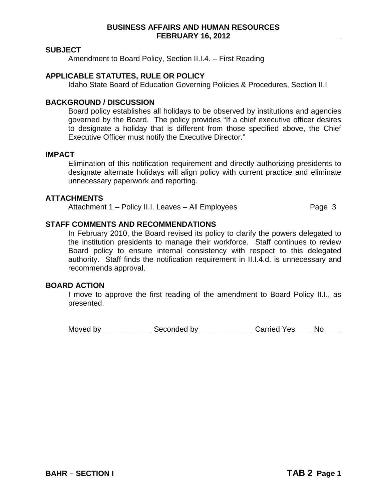#### **SUBJECT**

Amendment to Board Policy, Section II.I.4. – First Reading

#### **APPLICABLE STATUTES, RULE OR POLICY**

Idaho State Board of Education Governing Policies & Procedures, Section II.I

#### **BACKGROUND / DISCUSSION**

Board policy establishes all holidays to be observed by institutions and agencies governed by the Board. The policy provides "If a chief executive officer desires to designate a holiday that is different from those specified above, the Chief Executive Officer must notify the Executive Director."

#### **IMPACT**

Elimination of this notification requirement and directly authorizing presidents to designate alternate holidays will align policy with current practice and eliminate unnecessary paperwork and reporting.

#### **ATTACHMENTS**

Attachment 1 – Policy II.I. Leaves – All Employees Page 3

# **STAFF COMMENTS AND RECOMMENDATIONS**

In February 2010, the Board revised its policy to clarify the powers delegated to the institution presidents to manage their workforce. Staff continues to review Board policy to ensure internal consistency with respect to this delegated authority. Staff finds the notification requirement in II.I.4.d. is unnecessary and recommends approval.

#### **BOARD ACTION**

I move to approve the first reading of the amendment to Board Policy II.I., as presented.

Moved by\_\_\_\_\_\_\_\_\_\_\_\_\_\_\_\_ Seconded by\_\_\_\_\_\_\_\_\_\_\_\_\_\_\_\_\_ Carried Yes\_\_\_\_\_ No\_\_\_\_\_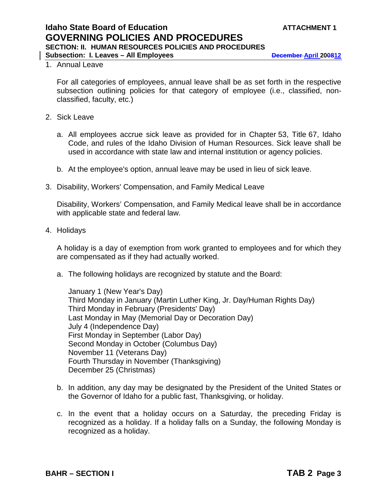#### 1. Annual Leave

For all categories of employees, annual leave shall be as set forth in the respective subsection outlining policies for that category of employee (i.e., classified, nonclassified, faculty, etc.)

- 2. Sick Leave
	- a. All employees accrue sick leave as provided for in Chapter 53, Title 67, Idaho Code, and rules of the Idaho Division of Human Resources. Sick leave shall be used in accordance with state law and internal institution or agency policies.
	- b. At the employee's option, annual leave may be used in lieu of sick leave.
- 3. Disability, Workers' Compensation, and Family Medical Leave

Disability, Workers' Compensation, and Family Medical leave shall be in accordance with applicable state and federal law.

4. Holidays

A holiday is a day of exemption from work granted to employees and for which they are compensated as if they had actually worked.

a. The following holidays are recognized by statute and the Board:

January 1 (New Year's Day) Third Monday in January (Martin Luther King, Jr. Day/Human Rights Day) Third Monday in February (Presidents' Day) Last Monday in May (Memorial Day or Decoration Day) July 4 (Independence Day) First Monday in September (Labor Day) Second Monday in October (Columbus Day) November 11 (Veterans Day) Fourth Thursday in November (Thanksgiving) December 25 (Christmas)

- b. In addition, any day may be designated by the President of the United States or the Governor of Idaho for a public fast, Thanksgiving, or holiday.
- c. In the event that a holiday occurs on a Saturday, the preceding Friday is recognized as a holiday. If a holiday falls on a Sunday, the following Monday is recognized as a holiday.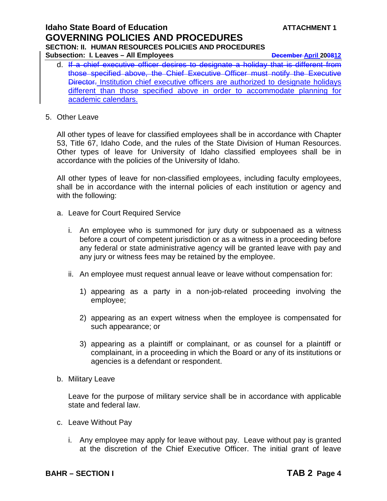# **Idaho State Board of Education ATTACHMENT 1 GOVERNING POLICIES AND PROCEDURES SECTION: II. HUMAN RESOURCES POLICIES AND PROCEDURES Subsection: I. Leaves – All Employees December April 200812**

- d. If a chief executive officer desires to designate a holiday that is different from those specified above, the Chief Executive Officer must notify the Executive Director. Institution chief executive officers are authorized to designate holidays different than those specified above in order to accommodate planning for academic calendars.
- 5. Other Leave

All other types of leave for classified employees shall be in accordance with Chapter 53, Title 67, Idaho Code, and the rules of the State Division of Human Resources. Other types of leave for University of Idaho classified employees shall be in accordance with the policies of the University of Idaho.

All other types of leave for non-classified employees, including faculty employees, shall be in accordance with the internal policies of each institution or agency and with the following:

- a. Leave for Court Required Service
	- i. An employee who is summoned for jury duty or subpoenaed as a witness before a court of competent jurisdiction or as a witness in a proceeding before any federal or state administrative agency will be granted leave with pay and any jury or witness fees may be retained by the employee.
	- ii. An employee must request annual leave or leave without compensation for:
		- 1) appearing as a party in a non-job-related proceeding involving the employee;
		- 2) appearing as an expert witness when the employee is compensated for such appearance; or
		- 3) appearing as a plaintiff or complainant, or as counsel for a plaintiff or complainant, in a proceeding in which the Board or any of its institutions or agencies is a defendant or respondent.
- b. Military Leave

Leave for the purpose of military service shall be in accordance with applicable state and federal law.

- c. Leave Without Pay
	- i. Any employee may apply for leave without pay. Leave without pay is granted at the discretion of the Chief Executive Officer. The initial grant of leave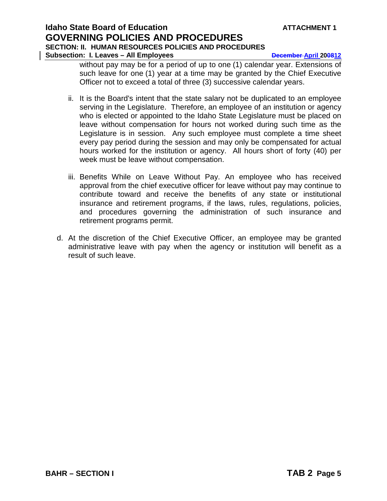# **Idaho State Board of Education ATTACHMENT 1 GOVERNING POLICIES AND PROCEDURES SECTION: II. HUMAN RESOURCES POLICIES AND PROCEDURES Subsection: I. Leaves – All Employees December April 200812**

without pay may be for a period of up to one (1) calendar year. Extensions of such leave for one (1) year at a time may be granted by the Chief Executive Officer not to exceed a total of three (3) successive calendar years.

- ii. It is the Board's intent that the state salary not be duplicated to an employee serving in the Legislature. Therefore, an employee of an institution or agency who is elected or appointed to the Idaho State Legislature must be placed on leave without compensation for hours not worked during such time as the Legislature is in session. Any such employee must complete a time sheet every pay period during the session and may only be compensated for actual hours worked for the institution or agency. All hours short of forty (40) per week must be leave without compensation.
- iii. Benefits While on Leave Without Pay. An employee who has received approval from the chief executive officer for leave without pay may continue to contribute toward and receive the benefits of any state or institutional insurance and retirement programs, if the laws, rules, regulations, policies, and procedures governing the administration of such insurance and retirement programs permit.
- d. At the discretion of the Chief Executive Officer, an employee may be granted administrative leave with pay when the agency or institution will benefit as a result of such leave.